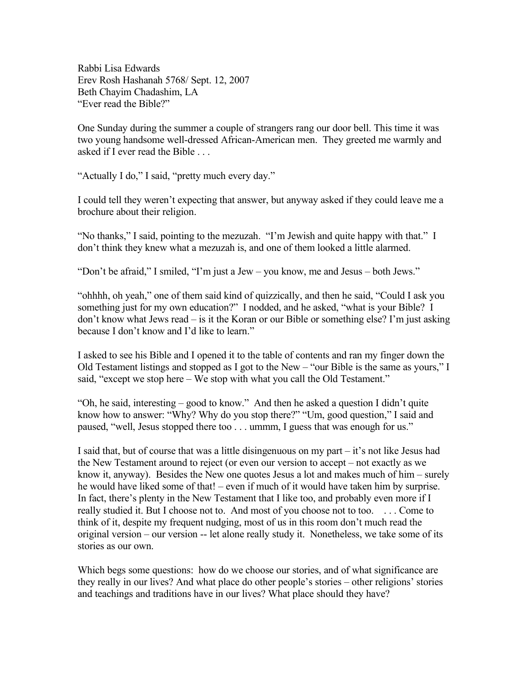Rabbi Lisa Edwards Erev Rosh Hashanah 5768/ Sept. 12, 2007 Beth Chayim Chadashim, LA "Ever read the Bible?"

One Sunday during the summer a couple of strangers rang our door bell. This time it was two young handsome well-dressed African-American men. They greeted me warmly and asked if I ever read the Bible . . .

"Actually I do," I said, "pretty much every day."

I could tell they weren't expecting that answer, but anyway asked if they could leave me a brochure about their religion.

"No thanks," I said, pointing to the mezuzah. "I'm Jewish and quite happy with that." I don't think they knew what a mezuzah is, and one of them looked a little alarmed.

"Don't be afraid," I smiled, "I'm just a Jew – you know, me and Jesus – both Jews."

"ohhhh, oh yeah," one of them said kind of quizzically, and then he said, "Could I ask you something just for my own education?" I nodded, and he asked, "what is your Bible? I don't know what Jews read – is it the Koran or our Bible or something else? I'm just asking because I don't know and I'd like to learn."

I asked to see his Bible and I opened it to the table of contents and ran my finger down the Old Testament listings and stopped as I got to the New – "our Bible is the same as yours," I said, "except we stop here – We stop with what you call the Old Testament."

"Oh, he said, interesting – good to know." And then he asked a question I didn't quite know how to answer: "Why? Why do you stop there?" "Um, good question," I said and paused, "well, Jesus stopped there too . . . ummm, I guess that was enough for us."

I said that, but of course that was a little disingenuous on my part – it's not like Jesus had the New Testament around to reject (or even our version to accept – not exactly as we know it, anyway). Besides the New one quotes Jesus a lot and makes much of him – surely he would have liked some of that! – even if much of it would have taken him by surprise. In fact, there's plenty in the New Testament that I like too, and probably even more if I really studied it. But I choose not to. And most of you choose not to too. . . . Come to think of it, despite my frequent nudging, most of us in this room don't much read the original version – our version -- let alone really study it. Nonetheless, we take some of its stories as our own.

Which begs some questions: how do we choose our stories, and of what significance are they really in our lives? And what place do other people's stories – other religions' stories and teachings and traditions have in our lives? What place should they have?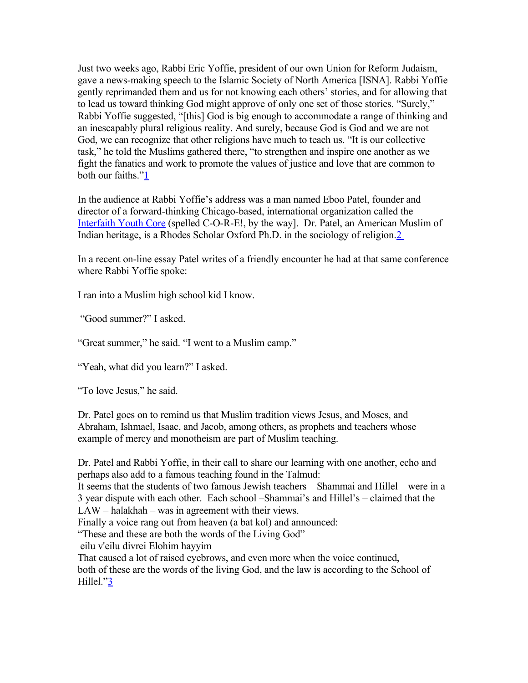Just two weeks ago, Rabbi Eric Yoffie, president of our own Union for Reform Judaism, gave a news-making speech to the Islamic Society of North America [ISNA]. Rabbi Yoffie gently reprimanded them and us for not knowing each others' stories, and for allowing that to lead us toward thinking God might approve of only one set of those stories. "Surely," Rabbi Yoffie suggested, "[this] God is big enough to accommodate a range of thinking and an inescapably plural religious reality. And surely, because God is God and we are not God, we can recognize that other religions have much to teach us. "It is our collective task," he told the Muslims gathered there, "to strengthen and inspire one another as we fight the fanatics and work to promote the values of justice and love that are common to both our faiths.["1](http://www.bcc-la.org/drashot/5768erevRH.html#footnote1)

In the audience at Rabbi Yoffie's address was a man named Eboo Patel, founder and director of a forward-thinking Chicago-based, international organization called the [Interfaith Youth Core](http://www.ifyc.org/) (spelled C-O-R-E!, by the way]. Dr. Patel, an American Muslim of Indian heritage, is a Rhodes Scholar Oxford Ph.D. in the sociology of religion[.2](http://www.bcc-la.org/drashot/5768erevRH.html#footnote2) 

In a recent on-line essay Patel writes of a friendly encounter he had at that same conference where Rabbi Yoffie spoke:

I ran into a Muslim high school kid I know.

"Good summer?" I asked.

"Great summer," he said. "I went to a Muslim camp."

"Yeah, what did you learn?" I asked.

"To love Jesus," he said.

Dr. Patel goes on to remind us that Muslim tradition views Jesus, and Moses, and Abraham, Ishmael, Isaac, and Jacob, among others, as prophets and teachers whose example of mercy and monotheism are part of Muslim teaching.

Dr. Patel and Rabbi Yoffie, in their call to share our learning with one another, echo and perhaps also add to a famous teaching found in the Talmud:

It seems that the students of two famous Jewish teachers – Shammai and Hillel – were in a 3 year dispute with each other. Each school –Shammai's and Hillel's – claimed that the LAW – halakhah – was in agreement with their views.

Finally a voice rang out from heaven (a bat kol) and announced:

"These and these are both the words of the Living God"

eilu v'eilu divrei Elohim hayyim

That caused a lot of raised eyebrows, and even more when the voice continued, both of these are the words of the living God, and the law is according to the School of Hillel.["3](http://www.bcc-la.org/drashot/5768erevRH.html#footnote3)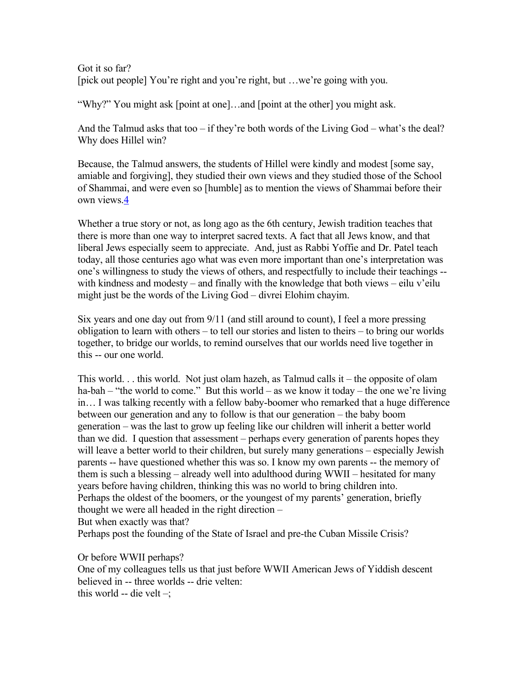Got it so far? [pick out people] You're right and you're right, but …we're going with you.

"Why?" You might ask [point at one]…and [point at the other] you might ask.

And the Talmud asks that too – if they're both words of the Living God – what's the deal? Why does Hillel win?

Because, the Talmud answers, the students of Hillel were kindly and modest [some say, amiable and forgiving], they studied their own views and they studied those of the School of Shammai, and were even so [humble] as to mention the views of Shammai before their own views[.4](http://www.bcc-la.org/drashot/5768erevRH.html#footnote4)

Whether a true story or not, as long ago as the 6th century, Jewish tradition teaches that there is more than one way to interpret sacred texts. A fact that all Jews know, and that liberal Jews especially seem to appreciate. And, just as Rabbi Yoffie and Dr. Patel teach today, all those centuries ago what was even more important than one's interpretation was one's willingness to study the views of others, and respectfully to include their teachings - with kindness and modesty – and finally with the knowledge that both views – eilu v'eilu might just be the words of the Living God – divrei Elohim chayim.

Six years and one day out from 9/11 (and still around to count), I feel a more pressing obligation to learn with others – to tell our stories and listen to theirs – to bring our worlds together, to bridge our worlds, to remind ourselves that our worlds need live together in this -- our one world.

This world. . . this world. Not just olam hazeh, as Talmud calls it – the opposite of olam ha-bah – "the world to come." But this world – as we know it today – the one we're living in… I was talking recently with a fellow baby-boomer who remarked that a huge difference between our generation and any to follow is that our generation – the baby boom generation – was the last to grow up feeling like our children will inherit a better world than we did. I question that assessment – perhaps every generation of parents hopes they will leave a better world to their children, but surely many generations – especially Jewish parents -- have questioned whether this was so. I know my own parents -- the memory of them is such a blessing – already well into adulthood during WWII – hesitated for many years before having children, thinking this was no world to bring children into. Perhaps the oldest of the boomers, or the youngest of my parents' generation, briefly thought we were all headed in the right direction – But when exactly was that?

Perhaps post the founding of the State of Israel and pre-the Cuban Missile Crisis?

Or before WWII perhaps?

One of my colleagues tells us that just before WWII American Jews of Yiddish descent believed in -- three worlds -- drie velten: this world -- die velt  $-$ ;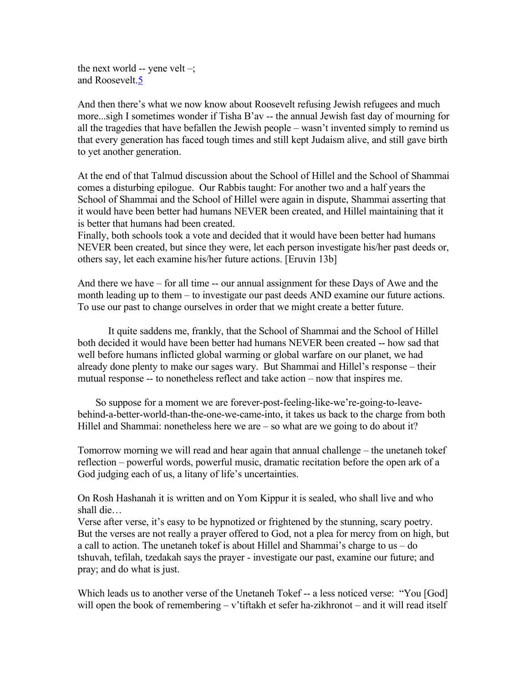the next world -- yene velt  $-$ ; and Roosevelt[.5](http://www.bcc-la.org/drashot/5768erevRH.html#footnote5)

And then there's what we now know about Roosevelt refusing Jewish refugees and much more...sigh I sometimes wonder if Tisha B'av -- the annual Jewish fast day of mourning for all the tragedies that have befallen the Jewish people – wasn't invented simply to remind us that every generation has faced tough times and still kept Judaism alive, and still gave birth to yet another generation.

At the end of that Talmud discussion about the School of Hillel and the School of Shammai comes a disturbing epilogue. Our Rabbis taught: For another two and a half years the School of Shammai and the School of Hillel were again in dispute, Shammai asserting that it would have been better had humans NEVER been created, and Hillel maintaining that it is better that humans had been created.

Finally, both schools took a vote and decided that it would have been better had humans NEVER been created, but since they were, let each person investigate his/her past deeds or, others say, let each examine his/her future actions. [Eruvin 13b]

And there we have – for all time -- our annual assignment for these Days of Awe and the month leading up to them – to investigate our past deeds AND examine our future actions. To use our past to change ourselves in order that we might create a better future.

 It quite saddens me, frankly, that the School of Shammai and the School of Hillel both decided it would have been better had humans NEVER been created -- how sad that well before humans inflicted global warming or global warfare on our planet, we had already done plenty to make our sages wary. But Shammai and Hillel's response – their mutual response -- to nonetheless reflect and take action – now that inspires me.

 So suppose for a moment we are forever-post-feeling-like-we're-going-to-leavebehind-a-better-world-than-the-one-we-came-into, it takes us back to the charge from both Hillel and Shammai: nonetheless here we are – so what are we going to do about it?

Tomorrow morning we will read and hear again that annual challenge – the unetaneh tokef reflection – powerful words, powerful music, dramatic recitation before the open ark of a God judging each of us, a litany of life's uncertainties.

On Rosh Hashanah it is written and on Yom Kippur it is sealed, who shall live and who shall die…

Verse after verse, it's easy to be hypnotized or frightened by the stunning, scary poetry. But the verses are not really a prayer offered to God, not a plea for mercy from on high, but a call to action. The unetaneh tokef is about Hillel and Shammai's charge to us – do tshuvah, tefilah, tzedakah says the prayer - investigate our past, examine our future; and pray; and do what is just.

Which leads us to another verse of the Unetaneh Tokef -- a less noticed verse: "You [God] will open the book of remembering – v'tiftakh et sefer ha-zikhronot – and it will read itself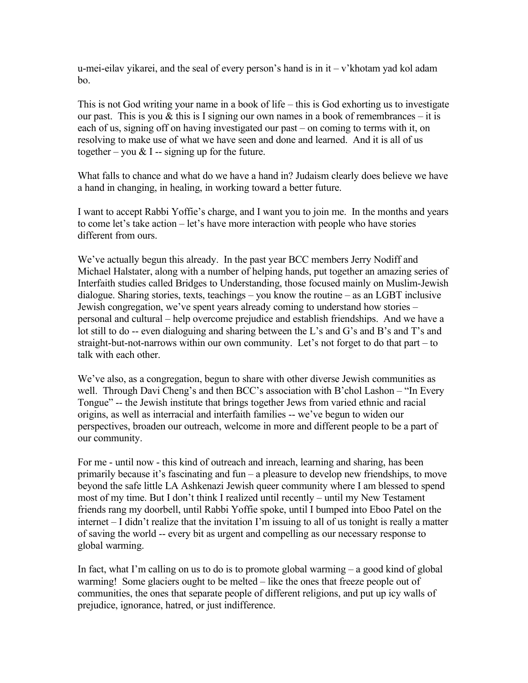u-mei-eilav yikarei, and the seal of every person's hand is in  $it - v'$ khotam yad kol adam bo.

This is not God writing your name in a book of life – this is God exhorting us to investigate our past. This is you  $\&$  this is I signing our own names in a book of remembrances – it is each of us, signing off on having investigated our past – on coming to terms with it, on resolving to make use of what we have seen and done and learned. And it is all of us together – you  $& I$  -- signing up for the future.

What falls to chance and what do we have a hand in? Judaism clearly does believe we have a hand in changing, in healing, in working toward a better future.

I want to accept Rabbi Yoffie's charge, and I want you to join me. In the months and years to come let's take action – let's have more interaction with people who have stories different from ours.

We've actually begun this already. In the past year BCC members Jerry Nodiff and Michael Halstater, along with a number of helping hands, put together an amazing series of Interfaith studies called Bridges to Understanding, those focused mainly on Muslim-Jewish dialogue. Sharing stories, texts, teachings – you know the routine – as an LGBT inclusive Jewish congregation, we've spent years already coming to understand how stories – personal and cultural – help overcome prejudice and establish friendships. And we have a lot still to do -- even dialoguing and sharing between the L's and G's and B's and T's and straight-but-not-narrows within our own community. Let's not forget to do that part – to talk with each other.

We've also, as a congregation, begun to share with other diverse Jewish communities as well. Through Davi Cheng's and then BCC's association with B'chol Lashon – "In Every" Tongue" -- the Jewish institute that brings together Jews from varied ethnic and racial origins, as well as interracial and interfaith families -- we've begun to widen our perspectives, broaden our outreach, welcome in more and different people to be a part of our community.

For me - until now - this kind of outreach and inreach, learning and sharing, has been primarily because it's fascinating and fun – a pleasure to develop new friendships, to move beyond the safe little LA Ashkenazi Jewish queer community where I am blessed to spend most of my time. But I don't think I realized until recently – until my New Testament friends rang my doorbell, until Rabbi Yoffie spoke, until I bumped into Eboo Patel on the internet – I didn't realize that the invitation I'm issuing to all of us tonight is really a matter of saving the world -- every bit as urgent and compelling as our necessary response to global warming.

In fact, what I'm calling on us to do is to promote global warming – a good kind of global warming! Some glaciers ought to be melted – like the ones that freeze people out of communities, the ones that separate people of different religions, and put up icy walls of prejudice, ignorance, hatred, or just indifference.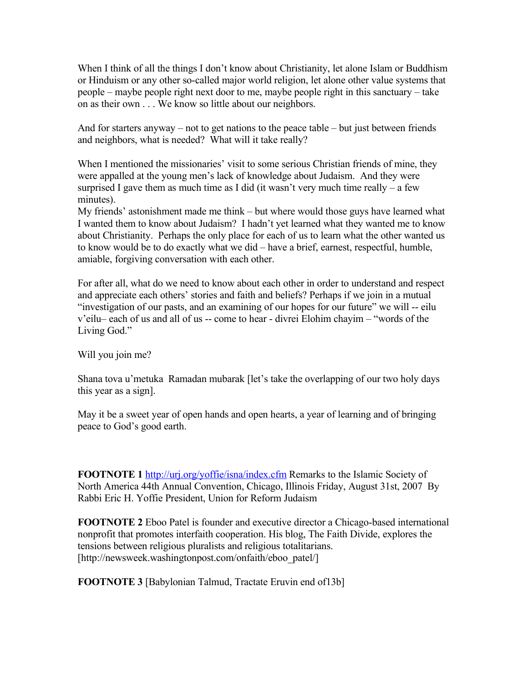When I think of all the things I don't know about Christianity, let alone Islam or Buddhism or Hinduism or any other so-called major world religion, let alone other value systems that people – maybe people right next door to me, maybe people right in this sanctuary – take on as their own . . . We know so little about our neighbors.

And for starters anyway – not to get nations to the peace table – but just between friends and neighbors, what is needed? What will it take really?

When I mentioned the missionaries' visit to some serious Christian friends of mine, they were appalled at the young men's lack of knowledge about Judaism. And they were surprised I gave them as much time as I did (it wasn't very much time really  $-$  a few minutes).

My friends' astonishment made me think – but where would those guys have learned what I wanted them to know about Judaism? I hadn't yet learned what they wanted me to know about Christianity. Perhaps the only place for each of us to learn what the other wanted us to know would be to do exactly what we did – have a brief, earnest, respectful, humble, amiable, forgiving conversation with each other.

For after all, what do we need to know about each other in order to understand and respect and appreciate each others' stories and faith and beliefs? Perhaps if we join in a mutual "investigation of our pasts, and an examining of our hopes for our future" we will -- eilu v'eilu– each of us and all of us -- come to hear - divrei Elohim chayim – "words of the Living God."

Will you join me?

Shana tova u'metuka Ramadan mubarak [let's take the overlapping of our two holy days this year as a sign].

May it be a sweet year of open hands and open hearts, a year of learning and of bringing peace to God's good earth.

**FOOTNOTE 1** <http://urj.org/yoffie/isna/index.cfm>Remarks to the Islamic Society of North America 44th Annual Convention, Chicago, Illinois Friday, August 31st, 2007 By Rabbi Eric H. Yoffie President, Union for Reform Judaism

**FOOTNOTE 2** Eboo Patel is founder and executive director a Chicago-based international nonprofit that promotes interfaith cooperation. His blog, The Faith Divide, explores the tensions between religious pluralists and religious totalitarians. [http://newsweek.washingtonpost.com/onfaith/eboo\_patel/]

**FOOTNOTE 3** [Babylonian Talmud, Tractate Eruvin end of13b]